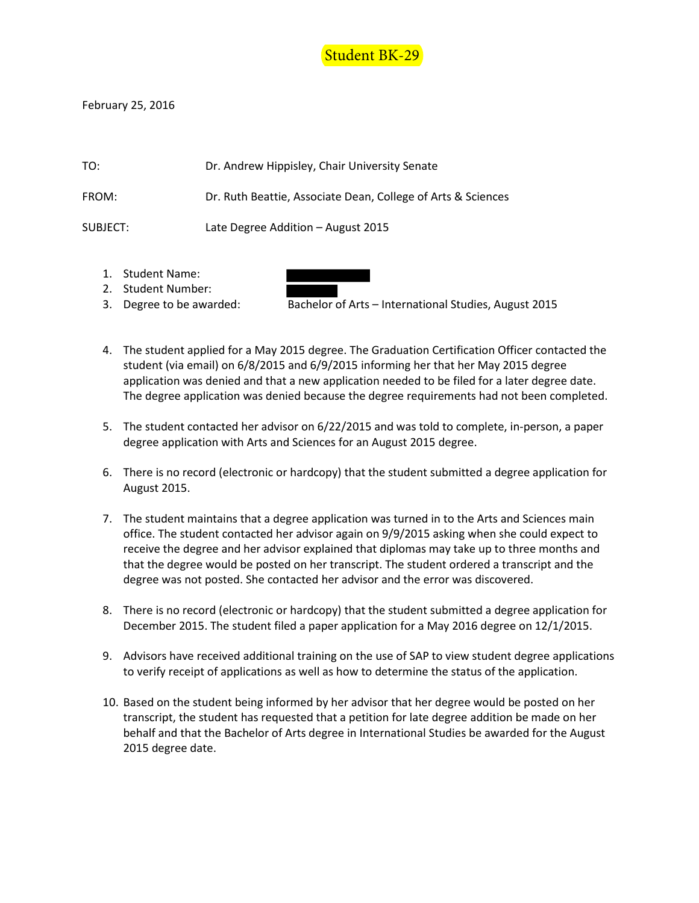

February 25, 2016

| TO:      | Dr. Andrew Hippisley, Chair University Senate                |
|----------|--------------------------------------------------------------|
| FROM:    | Dr. Ruth Beattie, Associate Dean, College of Arts & Sciences |
| SUBJECT: | Late Degree Addition – August 2015                           |

- 1. Student Name:
- 2. Student Number:
- 3. Degree to be awarded: Bachelor of Arts International Studies, August 2015
- 4. The student applied for a May 2015 degree. The Graduation Certification Officer contacted the student (via email) on 6/8/2015 and 6/9/2015 informing her that her May 2015 degree application was denied and that a new application needed to be filed for a later degree date. The degree application was denied because the degree requirements had not been completed.
- 5. The student contacted her advisor on 6/22/2015 and was told to complete, in-person, a paper degree application with Arts and Sciences for an August 2015 degree.
- 6. There is no record (electronic or hardcopy) that the student submitted a degree application for August 2015.
- 7. The student maintains that a degree application was turned in to the Arts and Sciences main office. The student contacted her advisor again on 9/9/2015 asking when she could expect to receive the degree and her advisor explained that diplomas may take up to three months and that the degree would be posted on her transcript. The student ordered a transcript and the degree was not posted. She contacted her advisor and the error was discovered.
- 8. There is no record (electronic or hardcopy) that the student submitted a degree application for December 2015. The student filed a paper application for a May 2016 degree on 12/1/2015.
- 9. Advisors have received additional training on the use of SAP to view student degree applications to verify receipt of applications as well as how to determine the status of the application.
- 10. Based on the student being informed by her advisor that her degree would be posted on her transcript, the student has requested that a petition for late degree addition be made on her behalf and that the Bachelor of Arts degree in International Studies be awarded for the August 2015 degree date.